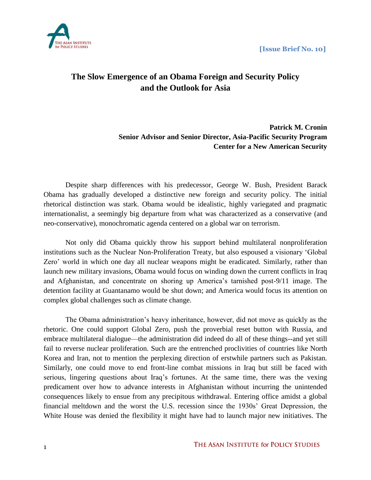

# **The Slow Emergence of an Obama Foreign and Security Policy and the Outlook for Asia**

# **Patrick M. Cronin Senior Advisor and Senior Director, Asia-Pacific Security Program Center for a New American Security**

Despite sharp differences with his predecessor, George W. Bush, President Barack Obama has gradually developed a distinctive new foreign and security policy. The initial rhetorical distinction was stark. Obama would be idealistic, highly variegated and pragmatic internationalist, a seemingly big departure from what was characterized as a conservative (and neo-conservative), monochromatic agenda centered on a global war on terrorism.

Not only did Obama quickly throw his support behind multilateral nonproliferation institutions such as the Nuclear Non-Proliferation Treaty, but also espoused a visionary 'Global Zero' world in which one day all nuclear weapons might be eradicated. Similarly, rather than launch new military invasions, Obama would focus on winding down the current conflicts in Iraq and Afghanistan, and concentrate on shoring up America's tarnished post-9/11 image. The detention facility at Guantanamo would be shut down; and America would focus its attention on complex global challenges such as climate change.

The Obama administration's heavy inheritance, however, did not move as quickly as the rhetoric. One could support Global Zero, push the proverbial reset button with Russia, and embrace multilateral dialogue—the administration did indeed do all of these things--and yet still fail to reverse nuclear proliferation. Such are the entrenched proclivities of countries like North Korea and Iran, not to mention the perplexing direction of erstwhile partners such as Pakistan. Similarly, one could move to end front-line combat missions in Iraq but still be faced with serious, lingering questions about Iraq's fortunes. At the same time, there was the vexing predicament over how to advance interests in Afghanistan without incurring the unintended consequences likely to ensue from any precipitous withdrawal. Entering office amidst a global financial meltdown and the worst the U.S. recession since the 1930s' Great Depression, the White House was denied the flexibility it might have had to launch major new initiatives. The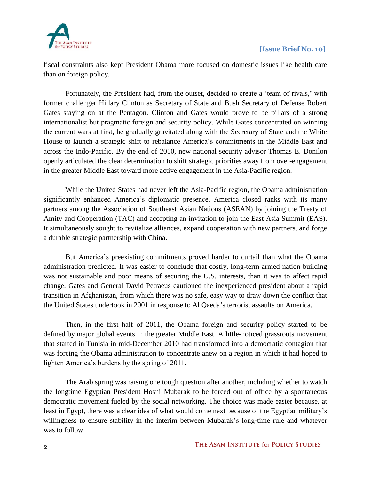

fiscal constraints also kept President Obama more focused on domestic issues like health care than on foreign policy.

Fortunately, the President had, from the outset, decided to create a 'team of rivals,' with former challenger Hillary Clinton as Secretary of State and Bush Secretary of Defense Robert Gates staying on at the Pentagon. Clinton and Gates would prove to be pillars of a strong internationalist but pragmatic foreign and security policy. While Gates concentrated on winning the current wars at first, he gradually gravitated along with the Secretary of State and the White House to launch a strategic shift to rebalance America's commitments in the Middle East and across the Indo-Pacific. By the end of 2010, new national security advisor Thomas E. Donilon openly articulated the clear determination to shift strategic priorities away from over-engagement in the greater Middle East toward more active engagement in the Asia-Pacific region.

While the United States had never left the Asia-Pacific region, the Obama administration significantly enhanced America's diplomatic presence. America closed ranks with its many partners among the Association of Southeast Asian Nations (ASEAN) by joining the Treaty of Amity and Cooperation (TAC) and accepting an invitation to join the East Asia Summit (EAS). It simultaneously sought to revitalize alliances, expand cooperation with new partners, and forge a durable strategic partnership with China.

But America's preexisting commitments proved harder to curtail than what the Obama administration predicted. It was easier to conclude that costly, long-term armed nation building was not sustainable and poor means of securing the U.S. interests, than it was to affect rapid change. Gates and General David Petraeus cautioned the inexperienced president about a rapid transition in Afghanistan, from which there was no safe, easy way to draw down the conflict that the United States undertook in 2001 in response to Al Qaeda's terrorist assaults on America.

Then, in the first half of 2011, the Obama foreign and security policy started to be defined by major global events in the greater Middle East. A little-noticed grassroots movement that started in Tunisia in mid-December 2010 had transformed into a democratic contagion that was forcing the Obama administration to concentrate anew on a region in which it had hoped to lighten America's burdens by the spring of 2011.

The Arab spring was raising one tough question after another, including whether to watch the longtime Egyptian President Hosni Mubarak to be forced out of office by a spontaneous democratic movement fueled by the social networking. The choice was made easier because, at least in Egypt, there was a clear idea of what would come next because of the Egyptian military's willingness to ensure stability in the interim between Mubarak's long-time rule and whatever was to follow.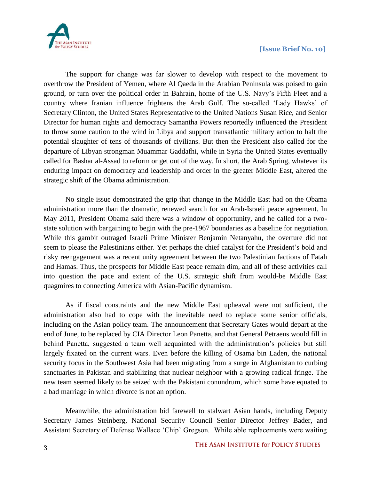



The support for change was far slower to develop with respect to the movement to overthrow the President of Yemen, where Al Qaeda in the Arabian Peninsula was poised to gain ground, or turn over the political order in Bahrain, home of the U.S. Navy's Fifth Fleet and a country where Iranian influence frightens the Arab Gulf. The so-called 'Lady Hawks' of Secretary Clinton, the United States Representative to the United Nations Susan Rice, and Senior Director for human rights and democracy Samantha Powers reportedly influenced the President to throw some caution to the wind in Libya and support transatlantic military action to halt the potential slaughter of tens of thousands of civilians. But then the President also called for the departure of Libyan strongman Muammar Gaddafhi, while in Syria the United States eventually called for Bashar al-Assad to reform or get out of the way. In short, the Arab Spring, whatever its enduring impact on democracy and leadership and order in the greater Middle East, altered the strategic shift of the Obama administration.

No single issue demonstrated the grip that change in the Middle East had on the Obama administration more than the dramatic, renewed search for an Arab-Israeli peace agreement. In May 2011, President Obama said there was a window of opportunity, and he called for a twostate solution with bargaining to begin with the pre-1967 boundaries as a baseline for negotiation. While this gambit outraged Israeli Prime Minister Benjamin Netanyahu, the overture did not seem to please the Palestinians either. Yet perhaps the chief catalyst for the President's bold and risky reengagement was a recent unity agreement between the two Palestinian factions of Fatah and Hamas. Thus, the prospects for Middle East peace remain dim, and all of these activities call into question the pace and extent of the U.S. strategic shift from would-be Middle East quagmires to connecting America with Asian-Pacific dynamism.

As if fiscal constraints and the new Middle East upheaval were not sufficient, the administration also had to cope with the inevitable need to replace some senior officials, including on the Asian policy team. The announcement that Secretary Gates would depart at the end of June, to be replaced by CIA Director Leon Panetta, and that General Petraeus would fill in behind Panetta, suggested a team well acquainted with the administration's policies but still largely fixated on the current wars. Even before the killing of Osama bin Laden, the national security focus in the Southwest Asia had been migrating from a surge in Afghanistan to curbing sanctuaries in Pakistan and stabilizing that nuclear neighbor with a growing radical fringe. The new team seemed likely to be seized with the Pakistani conundrum, which some have equated to a bad marriage in which divorce is not an option.

Meanwhile, the administration bid farewell to stalwart Asian hands, including Deputy Secretary James Steinberg, National Security Council Senior Director Jeffrey Bader, and Assistant Secretary of Defense Wallace 'Chip' Gregson. While able replacements were waiting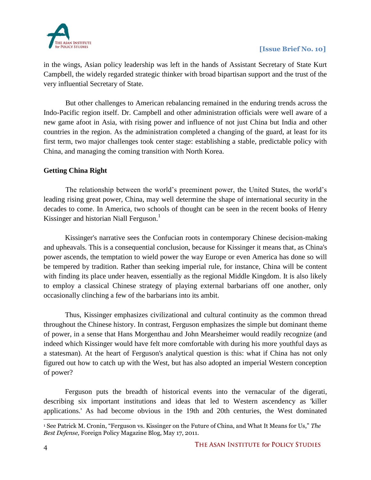

in the wings, Asian policy leadership was left in the hands of Assistant Secretary of State Kurt Campbell, the widely regarded strategic thinker with broad bipartisan support and the trust of the very influential Secretary of State.

But other challenges to American rebalancing remained in the enduring trends across the Indo-Pacific region itself. Dr. Campbell and other administration officials were well aware of a new game afoot in Asia, with rising power and influence of not just China but India and other countries in the region. As the administration completed a changing of the guard, at least for its first term, two major challenges took center stage: establishing a stable, predictable policy with China, and managing the coming transition with North Korea.

#### **Getting China Right**

The relationship between the world's preeminent power, the United States, the world's leading rising great power, China, may well determine the shape of international security in the decades to come. In America, two schools of thought can be seen in the recent books of Henry Kissinger and historian Niall Ferguson.<sup>1</sup>

Kissinger's narrative sees the Confucian roots in contemporary Chinese decision-making and upheavals. This is a consequential conclusion, because for Kissinger it means that, as China's power ascends, the temptation to wield power the way Europe or even America has done so will be tempered by tradition. Rather than seeking imperial rule, for instance, China will be content with finding its place under heaven, essentially as the regional Middle Kingdom. It is also likely to employ a classical Chinese strategy of playing external barbarians off one another, only occasionally clinching a few of the barbarians into its ambit.

Thus, Kissinger emphasizes civilizational and cultural continuity as the common thread throughout the Chinese history. In contrast, Ferguson emphasizes the simple but dominant theme of power, in a sense that Hans Morgenthau and John Mearsheimer would readily recognize (and indeed which Kissinger would have felt more comfortable with during his more youthful days as a statesman). At the heart of Ferguson's analytical question is this: what if China has not only figured out how to catch up with the West, but has also adopted an imperial Western conception of power?

Ferguson puts the breadth of historical events into the vernacular of the digerati, describing six important institutions and ideas that led to Western ascendency as 'killer applications.' As had become obvious in the 19th and 20th centuries, the West dominated

 $\overline{a}$ <sup>1</sup> See Patrick M. Cronin, "Ferguson vs. Kissinger on the Future of China, and What It Means for Us," *The Best Defense,* Foreign Policy Magazine Blog, May 17, 2011.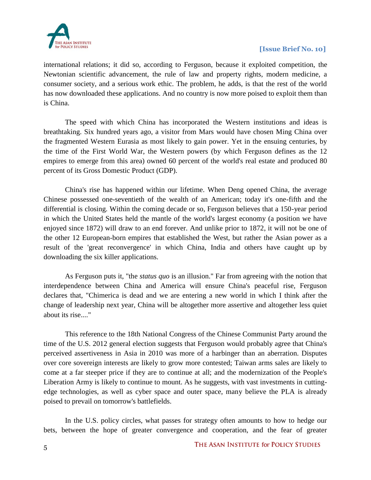

international relations; it did so, according to Ferguson, because it exploited competition, the Newtonian scientific advancement, the rule of law and property rights, modern medicine, a consumer society, and a serious work ethic. The problem, he adds, is that the rest of the world has now downloaded these applications. And no country is now more poised to exploit them than is China.

The speed with which China has incorporated the Western institutions and ideas is breathtaking. Six hundred years ago, a visitor from Mars would have chosen Ming China over the fragmented Western Eurasia as most likely to gain power. Yet in the ensuing centuries, by the time of the First World War, the Western powers (by which Ferguson defines as the 12 empires to emerge from this area) owned 60 percent of the world's real estate and produced 80 percent of its Gross Domestic Product (GDP).

China's rise has happened within our lifetime. When Deng opened China, the average Chinese possessed one-seventieth of the wealth of an American; today it's one-fifth and the differential is closing. Within the coming decade or so, Ferguson believes that a 150-year period in which the United States held the mantle of the world's largest economy (a position we have enjoyed since 1872) will draw to an end forever. And unlike prior to 1872, it will not be one of the other 12 European-born empires that established the West, but rather the Asian power as a result of the 'great reconvergence' in which China, India and others have caught up by downloading the six killer applications.

As Ferguson puts it, "the *status quo* is an illusion." Far from agreeing with the notion that interdependence between China and America will ensure China's peaceful rise, Ferguson declares that, "Chimerica is dead and we are entering a new world in which I think after the change of leadership next year, China will be altogether more assertive and altogether less quiet about its rise...."

This reference to the 18th National Congress of the Chinese Communist Party around the time of the U.S. 2012 general election suggests that Ferguson would probably agree that China's perceived assertiveness in Asia in 2010 was more of a harbinger than an aberration. Disputes over core sovereign interests are likely to grow more contested; Taiwan arms sales are likely to come at a far steeper price if they are to continue at all; and the modernization of the People's Liberation Army is likely to continue to mount. As he suggests, with vast investments in cuttingedge technologies, as well as cyber space and outer space, many believe the PLA is already poised to prevail on tomorrow's battlefields.

In the U.S. policy circles, what passes for strategy often amounts to how to hedge our bets, between the hope of greater convergence and cooperation, and the fear of greater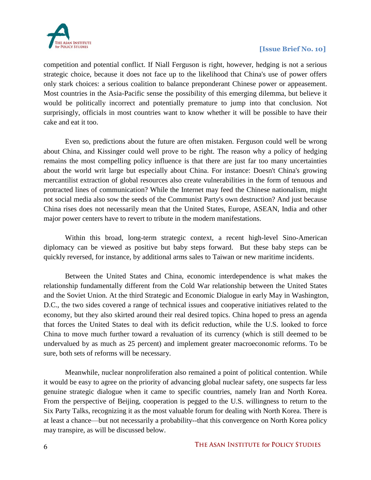

competition and potential conflict. If Niall Ferguson is right, however, hedging is not a serious strategic choice, because it does not face up to the likelihood that China's use of power offers only stark choices: a serious coalition to balance preponderant Chinese power or appeasement. Most countries in the Asia-Pacific sense the possibility of this emerging dilemma, but believe it would be politically incorrect and potentially premature to jump into that conclusion. Not surprisingly, officials in most countries want to know whether it will be possible to have their cake and eat it too.

Even so, predictions about the future are often mistaken. Ferguson could well be wrong about China, and Kissinger could well prove to be right. The reason why a policy of hedging remains the most compelling policy influence is that there are just far too many uncertainties about the world writ large but especially about China. For instance: Doesn't China's growing mercantilist extraction of global resources also create vulnerabilities in the form of tenuous and protracted lines of communication? While the Internet may feed the Chinese nationalism, might not social media also sow the seeds of the Communist Party's own destruction? And just because China rises does not necessarily mean that the United States, Europe, ASEAN, India and other major power centers have to revert to tribute in the modern manifestations.

Within this broad, long-term strategic context, a recent high-level Sino-American diplomacy can be viewed as positive but baby steps forward. But these baby steps can be quickly reversed, for instance, by additional arms sales to Taiwan or new maritime incidents.

Between the United States and China, economic interdependence is what makes the relationship fundamentally different from the Cold War relationship between the United States and the Soviet Union. At the third Strategic and Economic Dialogue in early May in Washington, D.C., the two sides covered a range of technical issues and cooperative initiatives related to the economy, but they also skirted around their real desired topics. China hoped to press an agenda that forces the United States to deal with its deficit reduction, while the U.S. looked to force China to move much further toward a revaluation of its currency (which is still deemed to be undervalued by as much as 25 percent) and implement greater macroeconomic reforms. To be sure, both sets of reforms will be necessary.

Meanwhile, nuclear nonproliferation also remained a point of political contention. While it would be easy to agree on the priority of advancing global nuclear safety, one suspects far less genuine strategic dialogue when it came to specific countries, namely Iran and North Korea. From the perspective of Beijing, cooperation is pegged to the U.S. willingness to return to the Six Party Talks, recognizing it as the most valuable forum for dealing with North Korea. There is at least a chance—but not necessarily a probability--that this convergence on North Korea policy may transpire, as will be discussed below.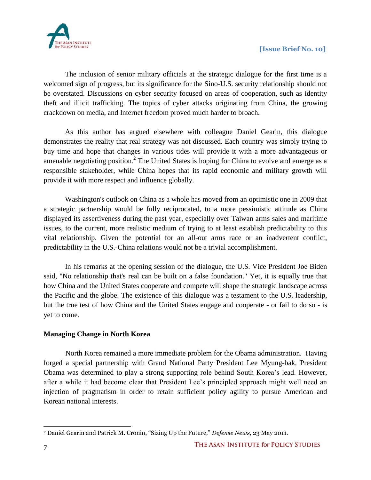

The inclusion of senior military officials at the strategic dialogue for the first time is a welcomed sign of progress, but its significance for the Sino-U.S. security relationship should not be overstated. Discussions on cyber security focused on areas of cooperation, such as identity theft and illicit trafficking. The topics of cyber attacks originating from China, the growing crackdown on media, and Internet freedom proved much harder to broach.

As this author has argued elsewhere with colleague Daniel Gearin, this dialogue demonstrates the reality that real strategy was not discussed. Each country was simply trying to buy time and hope that changes in various tides will provide it with a more advantageous or amenable negotiating position.<sup>2</sup> The United States is hoping for China to evolve and emerge as a responsible stakeholder, while China hopes that its rapid economic and military growth will provide it with more respect and influence globally.

Washington's outlook on China as a whole has moved from an optimistic one in 2009 that a strategic partnership would be fully reciprocated, to a more pessimistic attitude as China displayed its assertiveness during the past year, especially over Taiwan arms sales and maritime issues, to the current, more realistic medium of trying to at least establish predictability to this vital relationship. Given the potential for an all-out arms race or an inadvertent conflict, predictability in the U.S.-China relations would not be a trivial accomplishment.

In his remarks at the opening session of the dialogue, the U.S. Vice President Joe Biden said, "No relationship that's real can be built on a false foundation." Yet, it is equally true that how China and the United States cooperate and compete will shape the strategic landscape across the Pacific and the globe. The existence of this dialogue was a testament to the U.S. leadership, but the true test of how China and the United States engage and cooperate - or fail to do so - is yet to come.

#### **Managing Change in North Korea**

North Korea remained a more immediate problem for the Obama administration. Having forged a special partnership with Grand National Party President Lee Myung-bak, President Obama was determined to play a strong supporting role behind South Korea's lead. However, after a while it had become clear that President Lee's principled approach might well need an injection of pragmatism in order to retain sufficient policy agility to pursue American and Korean national interests.

 $\overline{a}$ <sup>2</sup> Daniel Gearin and Patrick M. Cronin, "Sizing Up the Future," *Defense News,* 23 May 2011.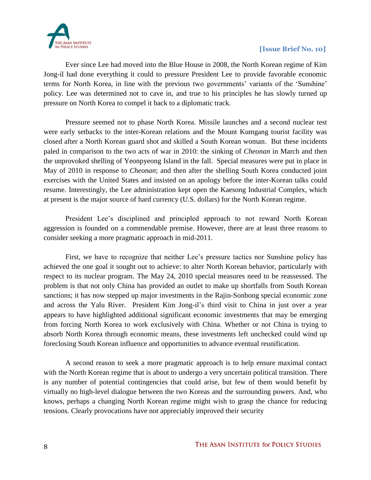

Ever since Lee had moved into the Blue House in 2008, the North Korean regime of Kim Jong-il had done everything it could to pressure President Lee to provide favorable economic terms for North Korea, in line with the previous two governments' variants of the 'Sunshine' policy. Lee was determined not to cave in, and true to his principles he has slowly turned up pressure on North Korea to compel it back to a diplomatic track.

Pressure seemed not to phase North Korea. Missile launches and a second nuclear test were early setbacks to the inter-Korean relations and the Mount Kumgang tourist facility was closed after a North Korean guard shot and skilled a South Korean woman. But these incidents paled in comparison to the two acts of war in 2010: the sinking of *Cheonan* in March and then the unprovoked shelling of Yeonpyeong Island in the fall. Special measures were put in place in May of 2010 in response to *Cheonan*; and then after the shelling South Korea conducted joint exercises with the United States and insisted on an apology before the inter-Korean talks could resume. Interestingly, the Lee administration kept open the Kaesong Industrial Complex, which at present is the major source of hard currency (U.S. dollars) for the North Korean regime.

President Lee's disciplined and principled approach to not reward North Korean aggression is founded on a commendable premise. However, there are at least three reasons to consider seeking a more pragmatic approach in mid-2011.

First, we have to recognize that neither Lee's pressure tactics nor Sunshine policy has achieved the one goal it sought out to achieve: to alter North Korean behavior, particularly with respect to its nuclear program. The May 24, 2010 special measures need to be reassessed. The problem is that not only China has provided an outlet to make up shortfalls from South Korean sanctions; it has now stepped up major investments in the Rajin-Sonbong special economic zone and across the Yalu River. President Kim Jong-il's third visit to China in just over a year appears to have highlighted additional significant economic investments that may be emerging from forcing North Korea to work exclusively with China. Whether or not China is trying to absorb North Korea through economic means, these investments left unchecked could wind up foreclosing South Korean influence and opportunities to advance eventual reunification.

A second reason to seek a more pragmatic approach is to help ensure maximal contact with the North Korean regime that is about to undergo a very uncertain political transition. There is any number of potential contingencies that could arise, but few of them would benefit by virtually no high-level dialogue between the two Koreas and the surrounding powers. And, who knows, perhaps a changing North Korean regime might wish to grasp the chance for reducing tensions. Clearly provocations have not appreciably improved their security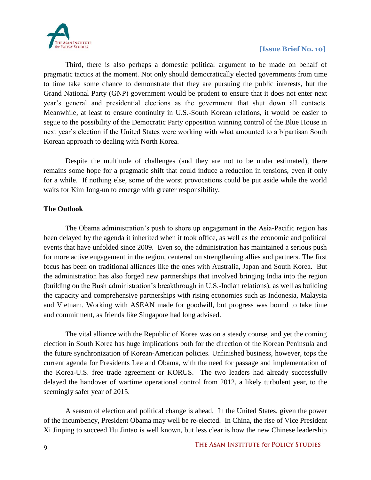

Third, there is also perhaps a domestic political argument to be made on behalf of pragmatic tactics at the moment. Not only should democratically elected governments from time to time take some chance to demonstrate that they are pursuing the public interests, but the Grand National Party (GNP) government would be prudent to ensure that it does not enter next year's general and presidential elections as the government that shut down all contacts. Meanwhile, at least to ensure continuity in U.S.-South Korean relations, it would be easier to segue to the possibility of the Democratic Party opposition winning control of the Blue House in next year's election if the United States were working with what amounted to a bipartisan South Korean approach to dealing with North Korea.

Despite the multitude of challenges (and they are not to be under estimated), there remains some hope for a pragmatic shift that could induce a reduction in tensions, even if only for a while. If nothing else, some of the worst provocations could be put aside while the world waits for Kim Jong-un to emerge with greater responsibility.

#### **The Outlook**

The Obama administration's push to shore up engagement in the Asia-Pacific region has been delayed by the agenda it inherited when it took office, as well as the economic and political events that have unfolded since 2009. Even so, the administration has maintained a serious push for more active engagement in the region, centered on strengthening allies and partners. The first focus has been on traditional alliances like the ones with Australia, Japan and South Korea. But the administration has also forged new partnerships that involved bringing India into the region (building on the Bush administration's breakthrough in U.S.-Indian relations), as well as building the capacity and comprehensive partnerships with rising economies such as Indonesia, Malaysia and Vietnam. Working with ASEAN made for goodwill, but progress was bound to take time and commitment, as friends like Singapore had long advised.

The vital alliance with the Republic of Korea was on a steady course, and yet the coming election in South Korea has huge implications both for the direction of the Korean Peninsula and the future synchronization of Korean-American policies. Unfinished business, however, tops the current agenda for Presidents Lee and Obama, with the need for passage and implementation of the Korea-U.S. free trade agreement or KORUS. The two leaders had already successfully delayed the handover of wartime operational control from 2012, a likely turbulent year, to the seemingly safer year of 2015.

A season of election and political change is ahead. In the United States, given the power of the incumbency, President Obama may well be re-elected. In China, the rise of Vice President Xi Jinping to succeed Hu Jintao is well known, but less clear is how the new Chinese leadership